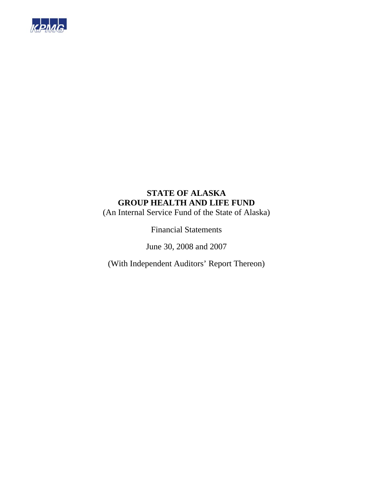

# **STATE OF ALASKA GROUP HEALTH AND LIFE FUND**

(An Internal Service Fund of the State of Alaska)

Financial Statements

June 30, 2008 and 2007

(With Independent Auditors' Report Thereon)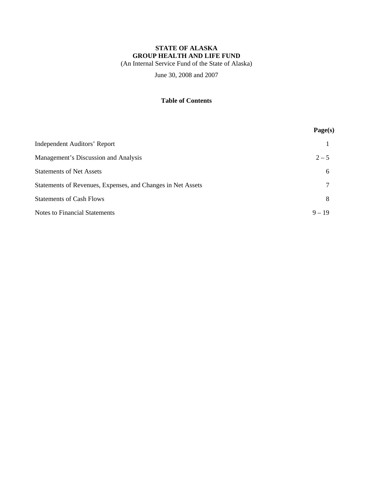# **STATE OF ALASKA GROUP HEALTH AND LIFE FUND**

(An Internal Service Fund of the State of Alaska)

June 30, 2008 and 2007

# **Table of Contents**

|                                                             | Page(s)  |
|-------------------------------------------------------------|----------|
| Independent Auditors' Report                                |          |
| Management's Discussion and Analysis                        | $2 - 5$  |
| <b>Statements of Net Assets</b>                             | 6        |
| Statements of Revenues, Expenses, and Changes in Net Assets | 7        |
| <b>Statements of Cash Flows</b>                             | 8        |
| <b>Notes to Financial Statements</b>                        | $9 - 19$ |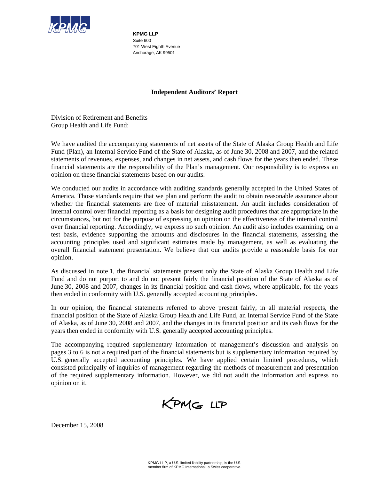

**KPMG LLP**  Suite 600 701 West Eighth Avenue Anchorage, AK 99501

# **Independent Auditors' Report**

Division of Retirement and Benefits Group Health and Life Fund:

We have audited the accompanying statements of net assets of the State of Alaska Group Health and Life Fund (Plan), an Internal Service Fund of the State of Alaska, as of June 30, 2008 and 2007, and the related statements of revenues, expenses, and changes in net assets, and cash flows for the years then ended. These financial statements are the responsibility of the Plan's management. Our responsibility is to express an opinion on these financial statements based on our audits.

We conducted our audits in accordance with auditing standards generally accepted in the United States of America. Those standards require that we plan and perform the audit to obtain reasonable assurance about whether the financial statements are free of material misstatement. An audit includes consideration of internal control over financial reporting as a basis for designing audit procedures that are appropriate in the circumstances, but not for the purpose of expressing an opinion on the effectiveness of the internal control over financial reporting. Accordingly, we express no such opinion. An audit also includes examining, on a test basis, evidence supporting the amounts and disclosures in the financial statements, assessing the accounting principles used and significant estimates made by management, as well as evaluating the overall financial statement presentation. We believe that our audits provide a reasonable basis for our opinion.

As discussed in note 1, the financial statements present only the State of Alaska Group Health and Life Fund and do not purport to and do not present fairly the financial position of the State of Alaska as of June 30, 2008 and 2007, changes in its financial position and cash flows, where applicable, for the years then ended in conformity with U.S. generally accepted accounting principles.

In our opinion, the financial statements referred to above present fairly, in all material respects, the financial position of the State of Alaska Group Health and Life Fund, an Internal Service Fund of the State of Alaska, as of June 30, 2008 and 2007, and the changes in its financial position and its cash flows for the years then ended in conformity with U.S. generally accepted accounting principles.

The accompanying required supplementary information of management's discussion and analysis on pages 3 to 6 is not a required part of the financial statements but is supplementary information required by U.S. generally accepted accounting principles. We have applied certain limited procedures, which consisted principally of inquiries of management regarding the methods of measurement and presentation of the required supplementary information. However, we did not audit the information and express no opinion on it.

KPMG LLP

December 15, 2008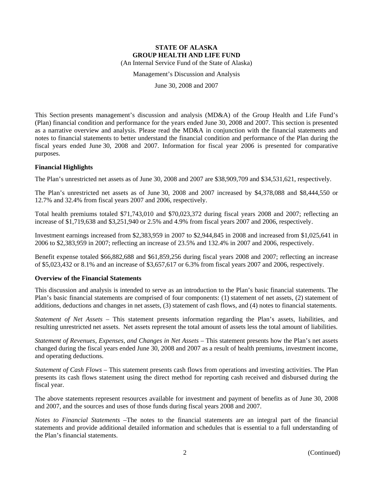Management's Discussion and Analysis

June 30, 2008 and 2007

This Section presents management's discussion and analysis (MD&A) of the Group Health and Life Fund's (Plan) financial condition and performance for the years ended June 30, 2008 and 2007. This section is presented as a narrative overview and analysis. Please read the MD&A in conjunction with the financial statements and notes to financial statements to better understand the financial condition and performance of the Plan during the fiscal years ended June 30, 2008 and 2007. Information for fiscal year 2006 is presented for comparative purposes.

# **Financial Highlights**

The Plan's unrestricted net assets as of June 30, 2008 and 2007 are \$38,909,709 and \$34,531,621, respectively.

The Plan's unrestricted net assets as of June 30, 2008 and 2007 increased by \$4,378,088 and \$8,444,550 or 12.7% and 32.4% from fiscal years 2007 and 2006, respectively.

Total health premiums totaled \$71,743,010 and \$70,023,372 during fiscal years 2008 and 2007; reflecting an increase of \$1,719,638 and \$3,251,940 or 2.5% and 4.9% from fiscal years 2007 and 2006, respectively.

Investment earnings increased from \$2,383,959 in 2007 to \$2,944,845 in 2008 and increased from \$1,025,641 in 2006 to \$2,383,959 in 2007; reflecting an increase of 23.5% and 132.4% in 2007 and 2006, respectively.

Benefit expense totaled \$66,882,688 and \$61,859,256 during fiscal years 2008 and 2007; reflecting an increase of \$5,023,432 or 8.1% and an increase of \$3,657,617 or 6.3% from fiscal years 2007 and 2006, respectively.

# **Overview of the Financial Statements**

This discussion and analysis is intended to serve as an introduction to the Plan's basic financial statements. The Plan's basic financial statements are comprised of four components: (1) statement of net assets, (2) statement of additions, deductions and changes in net assets, (3) statement of cash flows, and (4) notes to financial statements.

*Statement of Net Assets* – This statement presents information regarding the Plan's assets, liabilities, and resulting unrestricted net assets. Net assets represent the total amount of assets less the total amount of liabilities.

*Statement of Revenues, Expenses, and Changes in Net Assets* – This statement presents how the Plan's net assets changed during the fiscal years ended June 30, 2008 and 2007 as a result of health premiums, investment income, and operating deductions.

*Statement of Cash Flows* – This statement presents cash flows from operations and investing activities. The Plan presents its cash flows statement using the direct method for reporting cash received and disbursed during the fiscal year.

The above statements represent resources available for investment and payment of benefits as of June 30, 2008 and 2007, and the sources and uses of those funds during fiscal years 2008 and 2007.

*Notes to Financial Statements* –The notes to the financial statements are an integral part of the financial statements and provide additional detailed information and schedules that is essential to a full understanding of the Plan's financial statements.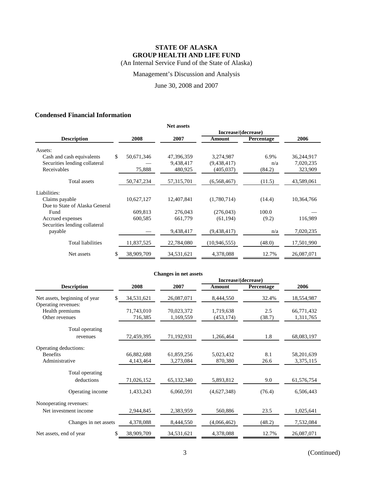Management's Discussion and Analysis

June 30, 2008 and 2007

# **Condensed Financial Information**

|                                |                  | <b>Net assets</b> |                     |                   |            |
|--------------------------------|------------------|-------------------|---------------------|-------------------|------------|
|                                |                  |                   | Increase/(decrease) |                   |            |
| <b>Description</b>             | 2008             | 2007              | Amount              | <b>Percentage</b> | 2006       |
| Assets:                        |                  |                   |                     |                   |            |
| Cash and cash equivalents      | \$<br>50,671,346 | 47,396,359        | 3,274,987           | 6.9%              | 36,244,917 |
| Securities lending collateral  |                  | 9,438,417         | (9,438,417)         | n/a               | 7,020,235  |
| Receivables                    | 75,888           | 480,925           | (405, 037)          | (84.2)            | 323,909    |
| Total assets                   | 50,747,234       | 57, 315, 701      | (6,568,467)         | (11.5)            | 43,589,061 |
| Liabilities:                   |                  |                   |                     |                   |            |
| Claims payable                 | 10,627,127       | 12,407,841        | (1,780,714)         | (14.4)            | 10,364,766 |
| Due to State of Alaska General |                  |                   |                     |                   |            |
| Fund                           | 609,813          | 276,043           | (276,043)           | 100.0             |            |
| Accrued expenses               | 600,585          | 661,779           | (61, 194)           | (9.2)             | 116,989    |
| Securities lending collateral  |                  |                   |                     |                   |            |
| payable                        |                  | 9,438,417         | (9,438,417)         | n/a               | 7,020,235  |
| <b>Total liabilities</b>       | 11,837,525       | 22,784,080        | (10,946,555)        | (48.0)            | 17,501,990 |
| Net assets                     | 38,909,709       | 34,531,621        | 4,378,088           | 12.7%             | 26,087,071 |

|                               |                  | <b>Changes in net assets</b> |                     |            |            |
|-------------------------------|------------------|------------------------------|---------------------|------------|------------|
|                               |                  |                              | Increase/(decrease) |            |            |
| <b>Description</b>            | 2008             | 2007                         | Amount              | Percentage | 2006       |
| Net assets, beginning of year | 34,531,621<br>S. | 26,087,071                   | 8,444,550           | 32.4%      | 18,554,987 |
| Operating revenues:           |                  |                              |                     |            |            |
| Health premiums               | 71,743,010       | 70,023,372                   | 1,719,638           | 2.5        | 66,771,432 |
| Other revenues                | 716,385          | 1,169,559                    | (453, 174)          | (38.7)     | 1,311,765  |
| Total operating               |                  |                              |                     |            |            |
| revenues                      | 72,459,395       | 71,192,931                   | 1,266,464           | 1.8        | 68,083,197 |
| Operating deductions:         |                  |                              |                     |            |            |
| <b>Benefits</b>               | 66,882,688       | 61,859,256                   | 5,023,432           | 8.1        | 58,201,639 |
| Administrative                | 4,143,464        | 3,273,084                    | 870,380             | 26.6       | 3,375,115  |
| Total operating               |                  |                              |                     |            |            |
| deductions                    | 71,026,152       | 65,132,340                   | 5,893,812           | 9.0        | 61,576,754 |
| Operating income              | 1,433,243        | 6,060,591                    | (4,627,348)         | (76.4)     | 6,506,443  |
| Nonoperating revenues:        |                  |                              |                     |            |            |
| Net investment income         | 2,944,845        | 2,383,959                    | 560,886             | 23.5       | 1,025,641  |
| Changes in net assets         | 4,378,088        | 8,444,550                    | (4,066,462)         | (48.2)     | 7,532,084  |
| Net assets, end of year       | 38,909,709<br>\$ | 34,531,621                   | 4,378,088           | 12.7%      | 26,087,071 |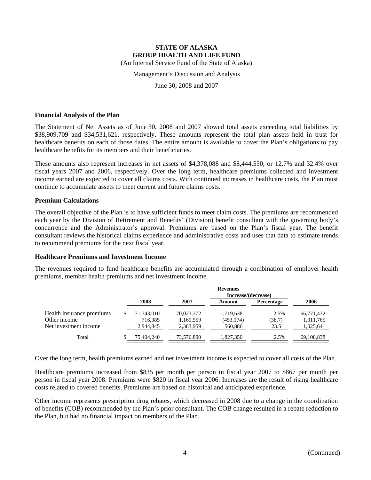Management's Discussion and Analysis

June 30, 2008 and 2007

# **Financial Analysis of the Plan**

The Statement of Net Assets as of June 30, 2008 and 2007 showed total assets exceeding total liabilities by \$38,909,709 and \$34,531,621, respectively. These amounts represent the total plan assets held in trust for healthcare benefits on each of those dates. The entire amount is available to cover the Plan's obligations to pay healthcare benefits for its members and their beneficiaries.

These amounts also represent increases in net assets of \$4,378,088 and \$8,444,550, or 12.7% and 32.4% over fiscal years 2007 and 2006, respectively. Over the long term, healthcare premiums collected and investment income earned are expected to cover all claims costs. With continued increases in healthcare costs, the Plan must continue to accumulate assets to meet current and future claims costs.

# **Premium Calculations**

The overall objective of the Plan is to have sufficient funds to meet claim costs. The premiums are recommended each year by the Division of Retirement and Benefits' (Division) benefit consultant with the governing body's concurrence and the Administrator's approval. Premiums are based on the Plan's fiscal year. The benefit consultant reviews the historical claims experience and administrative costs and uses that data to estimate trends to recommend premiums for the next fiscal year.

### **Healthcare Premiums and Investment Income**

The revenues required to fund healthcare benefits are accumulated through a combination of employer health premiums, member health premiums and net investment income.

|                           |            |            | <b>Revenues</b>     |                   |            |
|---------------------------|------------|------------|---------------------|-------------------|------------|
|                           |            |            | Increase/(decrease) |                   |            |
|                           | 2008       | 2007       | Amount              | <b>Percentage</b> | 2006       |
| Health insurance premiums | 71,743,010 | 70,023,372 | 1,719,638           | 2.5%              | 66,771,432 |
| Other income              | 716,385    | 1,169,559  | (453, 174)          | (38.7)            | 1,311,765  |
| Net investment income     | 2,944,845  | 2,383,959  | 560,886             | 23.5              | 1,025,641  |
| Total                     | 75,404,240 | 73,576,890 | 1.827.350           | 2.5%              | 69,108,838 |

Over the long term, health premiums earned and net investment income is expected to cover all costs of the Plan.

Healthcare premiums increased from \$835 per month per person in fiscal year 2007 to \$867 per month per person in fiscal year 2008. Premiums were \$820 in fiscal year 2006. Increases are the result of rising healthcare costs related to covered benefits. Premiums are based on historical and anticipated experience.

Other income represents prescription drug rebates, which decreased in 2008 due to a change in the coordination of benefits (COB) recommended by the Plan's prior consultant. The COB change resulted in a rebate reduction to the Plan, but had no financial impact on members of the Plan.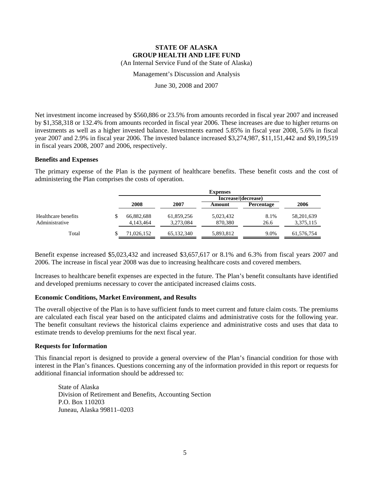Management's Discussion and Analysis

June 30, 2008 and 2007

Net investment income increased by \$560,886 or 23.5% from amounts recorded in fiscal year 2007 and increased by \$1,358,318 or 132.4% from amounts recorded in fiscal year 2006. These increases are due to higher returns on investments as well as a higher invested balance. Investments earned 5.85% in fiscal year 2008, 5.6% in fiscal year 2007 and 2.9% in fiscal year 2006. The invested balance increased \$3,274,987, \$11,151,442 and \$9,199,519 in fiscal years 2008, 2007 and 2006, respectively.

### **Benefits and Expenses**

The primary expense of the Plan is the payment of healthcare benefits. These benefit costs and the cost of administering the Plan comprises the costs of operation.

|                     |            |              | <b>Expenses</b>     |                   |              |
|---------------------|------------|--------------|---------------------|-------------------|--------------|
|                     |            |              | Increase/(decrease) |                   |              |
|                     | 2008       | 2007         | Amount              | <b>Percentage</b> | 2006         |
| Healthcare benefits | 66,882,688 | 61,859,256   | 5,023,432           | 8.1%              | 58, 201, 639 |
| Administrative      | 4,143,464  | 3,273,084    | 870.380             | 26.6              | 3,375,115    |
| Total               | 71.026.152 | 65, 132, 340 | 5,893,812           | 9.0%              | 61,576,754   |

Benefit expense increased \$5,023,432 and increased \$3,657,617 or 8.1% and 6.3% from fiscal years 2007 and 2006. The increase in fiscal year 2008 was due to increasing healthcare costs and covered members.

Increases to healthcare benefit expenses are expected in the future. The Plan's benefit consultants have identified and developed premiums necessary to cover the anticipated increased claims costs.

### **Economic Conditions, Market Environment, and Results**

The overall objective of the Plan is to have sufficient funds to meet current and future claim costs. The premiums are calculated each fiscal year based on the anticipated claims and administrative costs for the following year. The benefit consultant reviews the historical claims experience and administrative costs and uses that data to estimate trends to develop premiums for the next fiscal year.

### **Requests for Information**

This financial report is designed to provide a general overview of the Plan's financial condition for those with interest in the Plan's finances. Questions concerning any of the information provided in this report or requests for additional financial information should be addressed to:

State of Alaska Division of Retirement and Benefits, Accounting Section P.O. Box 110203 Juneau, Alaska 99811–0203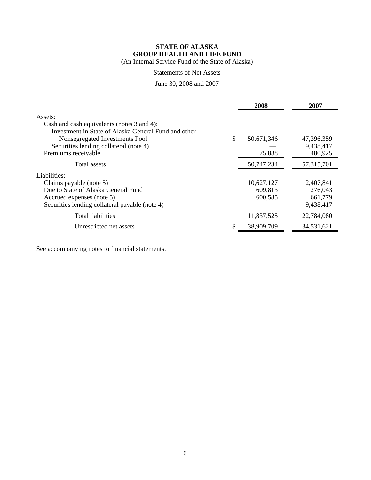# **STATE OF ALASKA GROUP HEALTH AND LIFE FUND**

(An Internal Service Fund of the State of Alaska)

# Statements of Net Assets

# June 30, 2008 and 2007

|                                                                                                                                                                                                                  | 2008                             | 2007                                          |
|------------------------------------------------------------------------------------------------------------------------------------------------------------------------------------------------------------------|----------------------------------|-----------------------------------------------|
| Assets:<br>Cash and cash equivalents (notes 3 and 4):<br>Investment in State of Alaska General Fund and other<br>Nonsegregated Investments Pool<br>Securities lending collateral (note 4)<br>Premiums receivable | \$<br>50,671,346<br>75,888       | 47,396,359<br>9,438,417<br>480,925            |
| Total assets                                                                                                                                                                                                     | 50,747,234                       | 57, 315, 701                                  |
| Liabilities:<br>Claims payable (note 5)<br>Due to State of Alaska General Fund<br>Accrued expenses (note 5)<br>Securities lending collateral payable (note 4)                                                    | 10,627,127<br>609,813<br>600,585 | 12,407,841<br>276,043<br>661,779<br>9,438,417 |
| <b>Total liabilities</b>                                                                                                                                                                                         | 11,837,525                       | 22,784,080                                    |
| Unrestricted net assets                                                                                                                                                                                          | 38,909,709                       | 34,531,621                                    |

See accompanying notes to financial statements.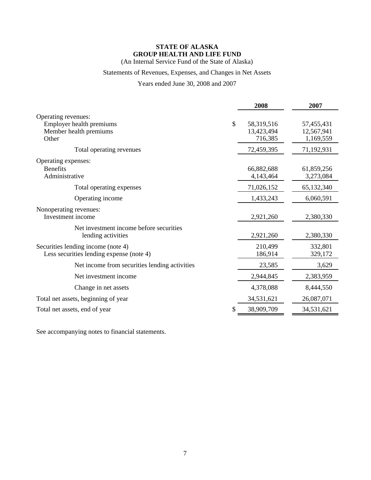# **STATE OF ALASKA GROUP HEALTH AND LIFE FUND**

(An Internal Service Fund of the State of Alaska)

# Statements of Revenues, Expenses, and Changes in Net Assets

Years ended June 30, 2008 and 2007

|                                               | 2008             | 2007       |
|-----------------------------------------------|------------------|------------|
| Operating revenues:                           |                  |            |
| Employer health premiums                      | \$<br>58,319,516 | 57,455,431 |
| Member health premiums                        | 13,423,494       | 12,567,941 |
| Other                                         | 716,385          | 1,169,559  |
| Total operating revenues                      | 72,459,395       | 71,192,931 |
| Operating expenses:                           |                  |            |
| <b>Benefits</b>                               | 66,882,688       | 61,859,256 |
| Administrative                                | 4,143,464        | 3,273,084  |
| Total operating expenses                      | 71,026,152       | 65,132,340 |
| Operating income                              | 1,433,243        | 6,060,591  |
| Nonoperating revenues:                        |                  |            |
| Investment income                             | 2,921,260        | 2,380,330  |
| Net investment income before securities       |                  |            |
| lending activities                            | 2,921,260        | 2,380,330  |
| Securities lending income (note 4)            | 210,499          | 332,801    |
| Less securities lending expense (note 4)      | 186,914          | 329,172    |
| Net income from securities lending activities | 23,585           | 3,629      |
| Net investment income                         | 2,944,845        | 2,383,959  |
| Change in net assets                          | 4,378,088        | 8,444,550  |
| Total net assets, beginning of year           | 34,531,621       | 26,087,071 |
| Total net assets, end of year                 | 38,909,709       | 34,531,621 |

See accompanying notes to financial statements.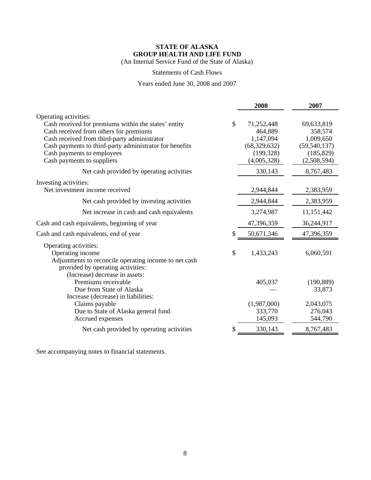# **STATE OF ALASKA GROUP HEALTH AND LIFE FUND**

(An Internal Service Fund of the State of Alaska)

# Statements of Cash Flows

Years ended June 30, 2008 and 2007

|                                                                                                                                                                                                                                                                                                |    | 2008                                                                              | 2007                                                                              |
|------------------------------------------------------------------------------------------------------------------------------------------------------------------------------------------------------------------------------------------------------------------------------------------------|----|-----------------------------------------------------------------------------------|-----------------------------------------------------------------------------------|
| Operating activities:<br>Cash received for premiums within the states' entity<br>Cash received from others for premiums<br>Cash received from third-party administrator<br>Cash payments to third-party administrator for benefits<br>Cash payments to employees<br>Cash payments to suppliers | \$ | 71,252,448<br>464,889<br>1,147,094<br>(68, 329, 632)<br>(199, 328)<br>(4,005,328) | 69,633,819<br>358,574<br>1,009,650<br>(59, 540, 137)<br>(185, 829)<br>(2,508,594) |
| Net cash provided by operating activities                                                                                                                                                                                                                                                      |    | 330,143                                                                           | 8,767,483                                                                         |
| Investing activities:<br>Net investment income received                                                                                                                                                                                                                                        |    | 2,944,844                                                                         | 2,383,959                                                                         |
| Net cash provided by investing activities                                                                                                                                                                                                                                                      |    | 2,944,844                                                                         | 2,383,959                                                                         |
| Net increase in cash and cash equivalents                                                                                                                                                                                                                                                      |    | 3,274,987                                                                         | 11,151,442                                                                        |
| Cash and cash equivalents, beginning of year                                                                                                                                                                                                                                                   |    | 47,396,359                                                                        | 36,244,917                                                                        |
| Cash and cash equivalents, end of year                                                                                                                                                                                                                                                         | S  | 50,671,346                                                                        | 47,396,359                                                                        |
| Operating activities:<br>Operating income<br>Adjustments to reconcile operating income to net cash<br>provided by operating activities:<br>(Increase) decrease in assets:                                                                                                                      | \$ | 1,433,243                                                                         | 6,060,591                                                                         |
| Premiums receivable<br>Due from State of Alaska<br>Increase (decrease) in liabilities:                                                                                                                                                                                                         |    | 405,037                                                                           | (190, 889)<br>33,873                                                              |
| Claims payable<br>Due to State of Alaska general fund<br>Accrued expenses                                                                                                                                                                                                                      |    | (1,987,000)<br>333,770<br>145,093                                                 | 2,043,075<br>276,043<br>544,790                                                   |
| Net cash provided by operating activities                                                                                                                                                                                                                                                      |    | 330,143                                                                           | 8,767,483                                                                         |

See accompanying notes to financial statements.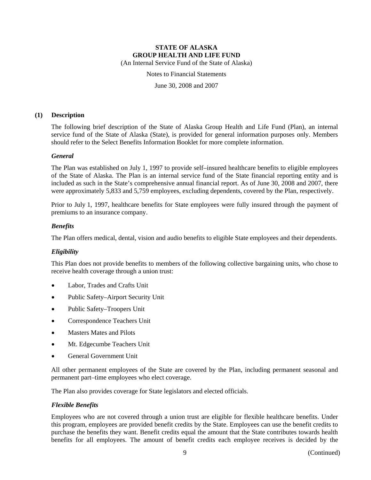Notes to Financial Statements

June 30, 2008 and 2007

# **(1) Description**

The following brief description of the State of Alaska Group Health and Life Fund (Plan), an internal service fund of the State of Alaska (State), is provided for general information purposes only. Members should refer to the Select Benefits Information Booklet for more complete information.

# *General*

The Plan was established on July 1, 1997 to provide self–insured healthcare benefits to eligible employees of the State of Alaska. The Plan is an internal service fund of the State financial reporting entity and is included as such in the State's comprehensive annual financial report. As of June 30, 2008 and 2007, there were approximately 5,833 and 5,759 employees, excluding dependents, covered by the Plan, respectively.

Prior to July 1, 1997, healthcare benefits for State employees were fully insured through the payment of premiums to an insurance company.

# *Benefits*

The Plan offers medical, dental, vision and audio benefits to eligible State employees and their dependents.

# *Eligibility*

This Plan does not provide benefits to members of the following collective bargaining units, who chose to receive health coverage through a union trust:

- Labor, Trades and Crafts Unit
- Public Safety–Airport Security Unit
- Public Safety–Troopers Unit
- Correspondence Teachers Unit
- Masters Mates and Pilots
- Mt. Edgecumbe Teachers Unit
- General Government Unit

All other permanent employees of the State are covered by the Plan, including permanent seasonal and permanent part–time employees who elect coverage.

The Plan also provides coverage for State legislators and elected officials.

# *Flexible Benefits*

Employees who are not covered through a union trust are eligible for flexible healthcare benefits. Under this program, employees are provided benefit credits by the State. Employees can use the benefit credits to purchase the benefits they want. Benefit credits equal the amount that the State contributes towards health benefits for all employees. The amount of benefit credits each employee receives is decided by the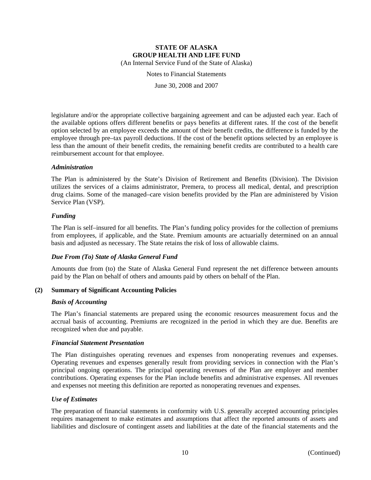Notes to Financial Statements

June 30, 2008 and 2007

legislature and/or the appropriate collective bargaining agreement and can be adjusted each year. Each of the available options offers different benefits or pays benefits at different rates. If the cost of the benefit option selected by an employee exceeds the amount of their benefit credits, the difference is funded by the employee through pre–tax payroll deductions. If the cost of the benefit options selected by an employee is less than the amount of their benefit credits, the remaining benefit credits are contributed to a health care reimbursement account for that employee.

# *Administration*

The Plan is administered by the State's Division of Retirement and Benefits (Division). The Division utilizes the services of a claims administrator, Premera, to process all medical, dental, and prescription drug claims. Some of the managed–care vision benefits provided by the Plan are administered by Vision Service Plan (VSP).

# *Funding*

The Plan is self–insured for all benefits. The Plan's funding policy provides for the collection of premiums from employees, if applicable, and the State. Premium amounts are actuarially determined on an annual basis and adjusted as necessary. The State retains the risk of loss of allowable claims.

# *Due From (To) State of Alaska General Fund*

Amounts due from (to) the State of Alaska General Fund represent the net difference between amounts paid by the Plan on behalf of others and amounts paid by others on behalf of the Plan.

# **(2) Summary of Significant Accounting Policies**

### *Basis of Accounting*

The Plan's financial statements are prepared using the economic resources measurement focus and the accrual basis of accounting. Premiums are recognized in the period in which they are due. Benefits are recognized when due and payable.

### *Financial Statement Presentation*

The Plan distinguishes operating revenues and expenses from nonoperating revenues and expenses. Operating revenues and expenses generally result from providing services in connection with the Plan's principal ongoing operations. The principal operating revenues of the Plan are employer and member contributions. Operating expenses for the Plan include benefits and administrative expenses. All revenues and expenses not meeting this definition are reported as nonoperating revenues and expenses.

### *Use of Estimates*

The preparation of financial statements in conformity with U.S. generally accepted accounting principles requires management to make estimates and assumptions that affect the reported amounts of assets and liabilities and disclosure of contingent assets and liabilities at the date of the financial statements and the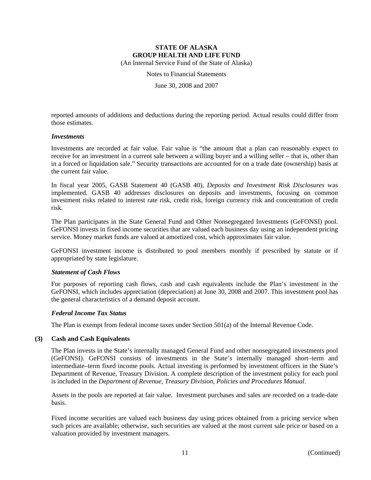Notes to Financial Statements

June 30, 2008 and 2007

reported amounts of additions and deductions during the reporting period. Actual results could differ from those estimates.

### *Investments*

Investments are recorded at fair value. Fair value is "the amount that a plan can reasonably expect to receive for an investment in a current sale between a willing buyer and a willing seller – that is, other than in a forced or liquidation sale." Security transactions are accounted for on a trade date (ownership) basis at the current fair value.

In fiscal year 2005, GASB Statement 40 (GASB 40), *Deposits and Investment Risk Disclosures* was implemented. GASB 40 addresses disclosures on deposits and investments, focusing on common investment risks related to interest rate risk, credit risk, foreign currency risk and concentration of credit risk.

The Plan participates in the State General Fund and Other Nonsegregated Investments (GeFONSI) pool. GeFONSI invests in fixed income securities that are valued each business day using an independent pricing service. Money market funds are valued at amortized cost, which approximates fair value.

GeFONSI investment income is distributed to pool members monthly if prescribed by statute or if appropriated by state legislature.

### *Statement of Cash Flows*

For purposes of reporting cash flows, cash and cash equivalents include the Plan's investment in the GeFONSI, which includes appreciation (depreciation) at June 30, 2008 and 2007. This investment pool has the general characteristics of a demand deposit account.

# *Federal Income Tax Status*

The Plan is exempt from federal income taxes under Section 501(a) of the Internal Revenue Code.

### **(3) Cash and Cash Equivalents**

The Plan invests in the State's internally managed General Fund and other nonsegregated investments pool (GeFONSI). GeFONSI consists of investments in the State's internally managed short–term and intermediate–term fixed income pools. Actual investing is performed by investment officers in the State's Department of Revenue, Treasury Division. A complete description of the investment policy for each pool is included in the *Department of Revenue, Treasury Division, Policies and Procedures Manual*.

Assets in the pools are reported at fair value. Investment purchases and sales are recorded on a trade-date basis.

Fixed income securities are valued each business day using prices obtained from a pricing service when such prices are available; otherwise, such securities are valued at the most current sale price or based on a valuation provided by investment managers.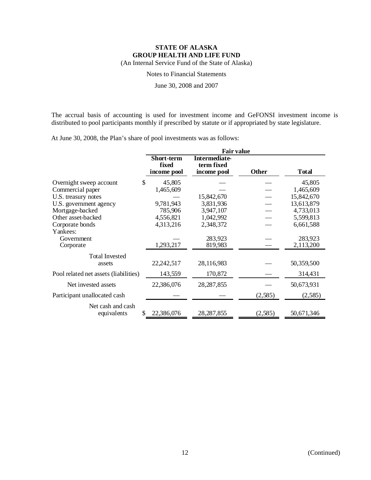Notes to Financial Statements

June 30, 2008 and 2007

The accrual basis of accounting is used for investment income and GeFONSI investment income is distributed to pool participants monthly if prescribed by statute or if appropriated by state legislature.

At June 30, 2008, the Plan's share of pool investments was as follows:

|                                         | <b>Fair value</b>                         |                                                   |              |              |  |  |
|-----------------------------------------|-------------------------------------------|---------------------------------------------------|--------------|--------------|--|--|
|                                         | <b>Short-term</b><br>fixed<br>income pool | <b>Intermediate-</b><br>term fixed<br>income pool | <b>Other</b> | <b>Total</b> |  |  |
| \$<br>Overnight sweep account           | 45,805                                    |                                                   |              | 45,805       |  |  |
| Commercial paper                        | 1,465,609                                 |                                                   |              | 1,465,609    |  |  |
| U.S. treasury notes                     |                                           | 15,842,670                                        |              | 15,842,670   |  |  |
| U.S. government agency                  | 9,781,943                                 | 3,831,936                                         |              | 13,613,879   |  |  |
| Mortgage-backed                         | 785,906                                   | 3,947,107                                         |              | 4,733,013    |  |  |
| Other asset-backed                      | 4,556,821                                 | 1,042,992                                         |              | 5,599,813    |  |  |
| Corporate bonds                         | 4,313,216                                 | 2,348,372                                         |              | 6,661,588    |  |  |
| Yankees:                                |                                           |                                                   |              |              |  |  |
| Government                              |                                           | 283,923                                           |              | 283,923      |  |  |
| Corporate                               | 1,293,217                                 | 819,983                                           |              | 2,113,200    |  |  |
| <b>Total Invested</b>                   |                                           |                                                   |              |              |  |  |
| assets                                  | 22,242,517                                | 28,116,983                                        |              | 50,359,500   |  |  |
| Pool related net assets (liabilities)   | 143,559                                   | 170,872                                           |              | 314,431      |  |  |
| Net invested assets                     | 22,386,076                                | 28, 287, 855                                      |              | 50,673,931   |  |  |
| Participant unallocated cash            |                                           |                                                   | (2,585)      | (2,585)      |  |  |
| Net cash and cash<br>equivalents<br>\$. | 22,386,076                                | 28, 287, 855                                      | (2, 585)     | 50,671,346   |  |  |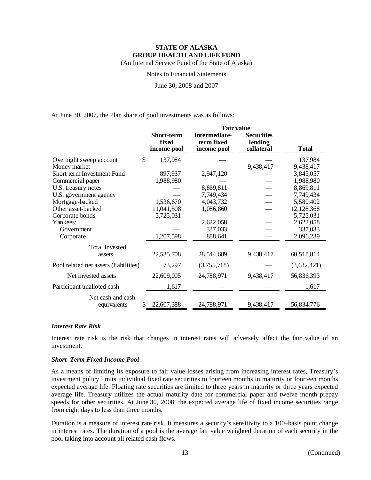Notes to Financial Statements

June 30, 2008 and 2007

At June 30, 2007, the Plan share of pool investments was as follows:

|                                       | <b>Fair value</b>    |                           |                       |              |  |
|---------------------------------------|----------------------|---------------------------|-----------------------|--------------|--|
|                                       | Short-term           | <b>Intermediate-</b>      | <b>Securities</b>     |              |  |
|                                       | fixed<br>income pool | term fixed<br>income pool | lending<br>collateral | <b>Total</b> |  |
| Overnight sweep account<br>\$         | 137,984              |                           |                       | 137,984      |  |
| Money market                          |                      |                           | 9,438,417             | 9,438,417    |  |
| Short-term Investment Fund            | 897,937              | 2,947,120                 |                       | 3,845,057    |  |
| Commercial paper                      | 1,988,980            |                           |                       | 1,988,980    |  |
| U.S. treasury notes                   |                      | 8,869,811                 |                       | 8,869,811    |  |
| U.S. government agency                |                      | 7,749,434                 |                       | 7,749,434    |  |
| Mortgage-backed                       | 1,536,670            | 4,043,732                 |                       | 5,580,402    |  |
| Other asset-backed                    | 11,041,508           | 1,086,860                 |                       | 12,128,368   |  |
| Corporate bonds                       | 5,725,031            |                           |                       | 5,725,031    |  |
| Yankees:                              |                      | 2,622,058                 |                       | 2,622,058    |  |
| Government                            |                      | 337,033                   |                       | 337,033      |  |
| Corporate                             | 1,207,598            | 888,641                   |                       | 2,096,239    |  |
| <b>Total Invested</b>                 |                      |                           |                       |              |  |
| assets                                | 22,535,708           | 28,544,689                | 9,438,417             | 60,518,814   |  |
| Pool related net assets (liabilities) | 73,297               | (3,755,718)               |                       | (3,682,421)  |  |
| Net invested assets                   | 22,609,005           | 24,788,971                | 9,438,417             | 56,836,393   |  |
| Participant unalloted cash            | 1,617                |                           |                       | 1,617        |  |
| Net cash and cash                     |                      |                           |                       |              |  |
| equivalents                           | 22,607,388           | 24,788,971                | 9,438,417             | 56,834,776   |  |

### *Interest Rate Risk*

Interest rate risk is the risk that changes in interest rates will adversely affect the fair value of an investment.

# *Short–Term Fixed Income Pool*

As a means of limiting its exposure to fair value losses arising from increasing interest rates, Treasury's investment policy limits individual fixed rate securities to fourteen months in maturity or fourteen months expected average life. Floating rate securities are limited to three years in maturity or three years expected average life. Treasury utilizes the actual maturity date for commercial paper and twelve month prepay speeds for other securities. At June 30, 2008, the expected average life of fixed income securities range from eight days to less than three months.

Duration is a measure of interest rate risk. It measures a security's sensitivity to a 100–basis point change in interest rates. The duration of a pool is the average fair value weighted duration of each security in the pool taking into account all related cash flows.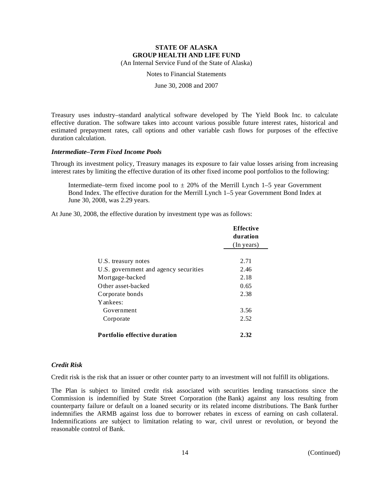Notes to Financial Statements

June 30, 2008 and 2007

Treasury uses industry–standard analytical software developed by The Yield Book Inc. to calculate effective duration. The software takes into account various possible future interest rates, historical and estimated prepayment rates, call options and other variable cash flows for purposes of the effective duration calculation.

# *Intermediate–Term Fixed Income Pools*

Through its investment policy, Treasury manages its exposure to fair value losses arising from increasing interest rates by limiting the effective duration of its other fixed income pool portfolios to the following:

Intermediate–term fixed income pool to  $\pm$  20% of the Merrill Lynch 1–5 year Government Bond Index. The effective duration for the Merrill Lynch 1–5 year Government Bond Index at June 30, 2008, was 2.29 years.

At June 30, 2008, the effective duration by investment type was as follows:

|                                       | <b>Effective</b><br>duration<br>(In years) |
|---------------------------------------|--------------------------------------------|
|                                       |                                            |
| U.S. treasury notes                   | 2.71                                       |
| U.S. government and agency securities | 2.46                                       |
| Mortgage-backed                       | 2.18                                       |
| Other asset-backed                    | 0.65                                       |
| Corporate bonds                       | 2.38                                       |
| Yankees:                              |                                            |
| Government                            | 3.56                                       |
| Corporate                             | 2.52                                       |
| <b>Portfolio effective duration</b>   | 2.32                                       |

### *Credit Risk*

Credit risk is the risk that an issuer or other counter party to an investment will not fulfill its obligations.

The Plan is subject to limited credit risk associated with securities lending transactions since the Commission is indemnified by State Street Corporation (the Bank) against any loss resulting from counterparty failure or default on a loaned security or its related income distributions. The Bank further indemnifies the ARMB against loss due to borrower rebates in excess of earning on cash collateral. Indemnifications are subject to limitation relating to war, civil unrest or revolution, or beyond the reasonable control of Bank.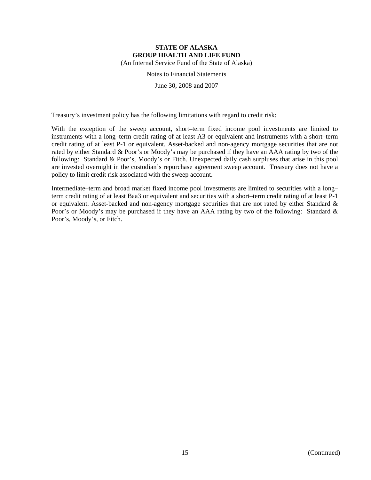Notes to Financial Statements

June 30, 2008 and 2007

Treasury's investment policy has the following limitations with regard to credit risk:

With the exception of the sweep account, short–term fixed income pool investments are limited to instruments with a long–term credit rating of at least A3 or equivalent and instruments with a short–term credit rating of at least P-1 or equivalent. Asset-backed and non-agency mortgage securities that are not rated by either Standard & Poor's or Moody's may be purchased if they have an AAA rating by two of the following: Standard & Poor's, Moody's or Fitch. Unexpected daily cash surpluses that arise in this pool are invested overnight in the custodian's repurchase agreement sweep account. Treasury does not have a policy to limit credit risk associated with the sweep account.

Intermediate–term and broad market fixed income pool investments are limited to securities with a long– term credit rating of at least Baa3 or equivalent and securities with a short–term credit rating of at least P-1 or equivalent. Asset-backed and non-agency mortgage securities that are not rated by either Standard  $\&$ Poor's or Moody's may be purchased if they have an AAA rating by two of the following: Standard & Poor's, Moody's, or Fitch.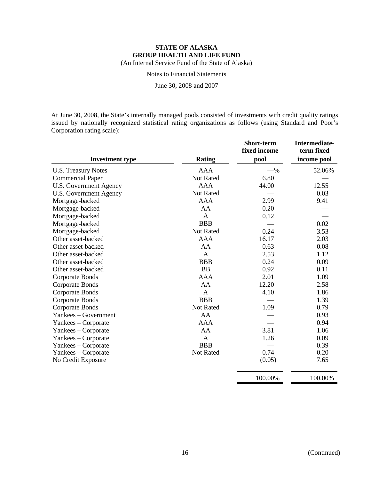Notes to Financial Statements

June 30, 2008 and 2007

At June 30, 2008, the State's internally managed pools consisted of investments with credit quality ratings issued by nationally recognized statistical rating organizations as follows (using Standard and Poor's Corporation rating scale):

|                               |               | <b>Short-term</b><br>fixed income | Intermediate-<br>term fixed |
|-------------------------------|---------------|-----------------------------------|-----------------------------|
| <b>Investment type</b>        | <b>Rating</b> | pool                              | income pool                 |
| <b>U.S. Treasury Notes</b>    | <b>AAA</b>    | $-$ %                             | 52.06%                      |
| <b>Commercial Paper</b>       | Not Rated     | 6.80                              |                             |
| <b>U.S. Government Agency</b> | <b>AAA</b>    | 44.00                             | 12.55                       |
| <b>U.S. Government Agency</b> | Not Rated     |                                   | 0.03                        |
| Mortgage-backed               | <b>AAA</b>    | 2.99                              | 9.41                        |
| Mortgage-backed               | AA            | 0.20                              |                             |
| Mortgage-backed               | $\mathbf{A}$  | 0.12                              |                             |
| Mortgage-backed               | <b>BBB</b>    |                                   | 0.02                        |
| Mortgage-backed               | Not Rated     | 0.24                              | 3.53                        |
| Other asset-backed            | <b>AAA</b>    | 16.17                             | 2.03                        |
| Other asset-backed            | AA            | 0.63                              | 0.08                        |
| Other asset-backed            | $\mathbf{A}$  | 2.53                              | 1.12                        |
| Other asset-backed            | <b>BBB</b>    | 0.24                              | 0.09                        |
| Other asset-backed            | <b>BB</b>     | 0.92                              | 0.11                        |
| <b>Corporate Bonds</b>        | <b>AAA</b>    | 2.01                              | 1.09                        |
| Corporate Bonds               | AA            | 12.20                             | 2.58                        |
| <b>Corporate Bonds</b>        | $\mathbf{A}$  | 4.10                              | 1.86                        |
| <b>Corporate Bonds</b>        | <b>BBB</b>    |                                   | 1.39                        |
| <b>Corporate Bonds</b>        | Not Rated     | 1.09                              | 0.79                        |
| Yankees – Government          | AA            |                                   | 0.93                        |
| Yankees – Corporate           | <b>AAA</b>    |                                   | 0.94                        |
| Yankees – Corporate           | AA            | 3.81                              | 1.06                        |
| Yankees – Corporate           | A             | 1.26                              | 0.09                        |
| Yankees – Corporate           | <b>BBB</b>    |                                   | 0.39                        |
| Yankees - Corporate           | Not Rated     | 0.74                              | 0.20                        |
| No Credit Exposure            |               | (0.05)                            | 7.65                        |

100.00% 100.00%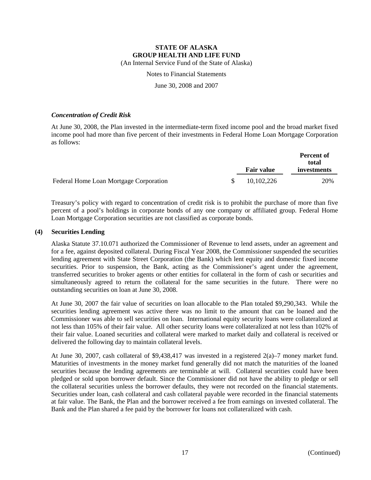Notes to Financial Statements

June 30, 2008 and 2007

# *Concentration of Credit Risk*

At June 30, 2008, the Plan invested in the intermediate-term fixed income pool and the broad market fixed income pool had more than five percent of their investments in Federal Home Loan Mortgage Corporation as follows:

|                                        |  | <b>Fair value</b> | <b>Percent of</b><br>total |
|----------------------------------------|--|-------------------|----------------------------|
|                                        |  |                   | investments                |
| Federal Home Loan Mortgage Corporation |  | 10,102,226        | 20%                        |

Treasury's policy with regard to concentration of credit risk is to prohibit the purchase of more than five percent of a pool's holdings in corporate bonds of any one company or affiliated group. Federal Home Loan Mortgage Corporation securities are not classified as corporate bonds.

# **(4) Securities Lending**

Alaska Statute 37.10.071 authorized the Commissioner of Revenue to lend assets, under an agreement and for a fee, against deposited collateral. During Fiscal Year 2008, the Commissioner suspended the securities lending agreement with State Street Corporation (the Bank) which lent equity and domestic fixed income securities. Prior to suspension, the Bank, acting as the Commissioner's agent under the agreement, transferred securities to broker agents or other entities for collateral in the form of cash or securities and simultaneously agreed to return the collateral for the same securities in the future. There were no outstanding securities on loan at June 30, 2008.

At June 30, 2007 the fair value of securities on loan allocable to the Plan totaled \$9,290,343. While the securities lending agreement was active there was no limit to the amount that can be loaned and the Commissioner was able to sell securities on loan. International equity security loans were collateralized at not less than 105% of their fair value. All other security loans were collateralized at not less than 102% of their fair value. Loaned securities and collateral were marked to market daily and collateral is received or delivered the following day to maintain collateral levels.

At June 30, 2007, cash collateral of \$9,438,417 was invested in a registered 2(a)–7 money market fund. Maturities of investments in the money market fund generally did not match the maturities of the loaned securities because the lending agreements are terminable at will. Collateral securities could have been pledged or sold upon borrower default. Since the Commissioner did not have the ability to pledge or sell the collateral securities unless the borrower defaults, they were not recorded on the financial statements. Securities under loan, cash collateral and cash collateral payable were recorded in the financial statements at fair value. The Bank, the Plan and the borrower received a fee from earnings on invested collateral. The Bank and the Plan shared a fee paid by the borrower for loans not collateralized with cash.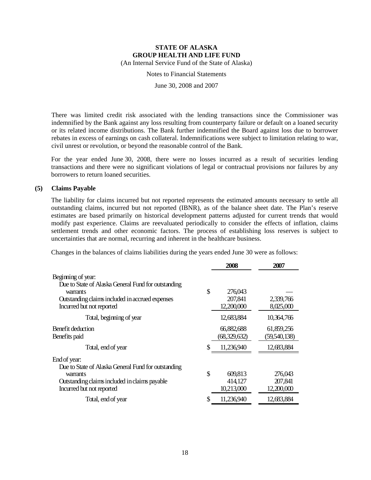Notes to Financial Statements

June 30, 2008 and 2007

There was limited credit risk associated with the lending transactions since the Commissioner was indemnified by the Bank against any loss resulting from counterparty failure or default on a loaned security or its related income distributions. The Bank further indemnified the Board against loss due to borrower rebates in excess of earnings on cash collateral. Indemnifications were subject to limitation relating to war, civil unrest or revolution, or beyond the reasonable control of the Bank.

For the year ended June 30, 2008, there were no losses incurred as a result of securities lending transactions and there were no significant violations of legal or contractual provisions nor failures by any borrowers to return loaned securities.

### **(5) Claims Payable**

The liability for claims incurred but not reported represents the estimated amounts necessary to settle all outstanding claims, incurred but not reported (IBNR), as of the balance sheet date. The Plan's reserve estimates are based primarily on historical development patterns adjusted for current trends that would modify past experience. Claims are reevaluated periodically to consider the effects of inflation, claims settlement trends and other economic factors. The process of establishing loss reserves is subject to uncertainties that are normal, recurring and inherent in the healthcare business.

Changes in the balances of claims liabilities during the years ended June 30 were as follows:

|                                                                                                                                                                       | 2008                                   | 2007                             |
|-----------------------------------------------------------------------------------------------------------------------------------------------------------------------|----------------------------------------|----------------------------------|
| Beginning of year:<br>Due to State of Alaska General Fund for outstanding<br>warrants<br>Outstanding claims included in accrued expenses<br>Incurred but not reported | \$<br>276,043<br>207,841<br>12,200,000 | 2,339,766<br>8,025,000           |
| Total, beginning of year                                                                                                                                              | 12,683,884                             | 10,364,766                       |
| Benefit deduction<br>Benefits paid                                                                                                                                    | 66,882,688<br>(68,329,632)             | 61,859,256<br>(59,540,138)       |
| Total, end of year                                                                                                                                                    | 11,236,940                             | 12,683,884                       |
| End of year:<br>Due to State of Alaska General Fund for outstanding<br>warrants<br>Outstanding claims included in claims payable<br>Incurred but not reported         | \$<br>609,813<br>414,127<br>10,213,000 | 276,043<br>207,841<br>12,200,000 |
| Total, end of year                                                                                                                                                    | 11,236,940                             | 12,683,884                       |